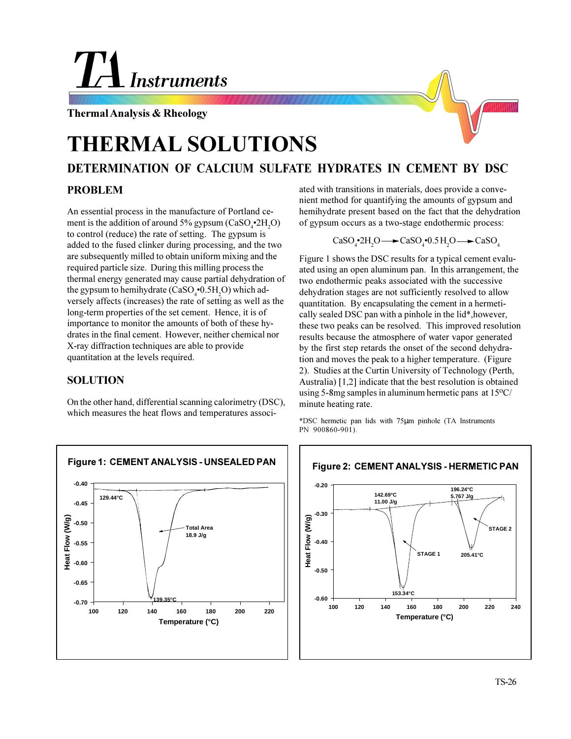# Instruments

**Thermal Analysis & Rheology**

## **THERMAL SOLUTIONS**

### **DETERMINATION OF CALCIUM SULFATE HYDRATES IN CEMENT BY DSC**

#### **PROBLEM**

An essential process in the manufacture of Portland cement is the addition of around 5% gypsum ( $CaSO_4^{\bullet}2H_2O$ ) to control (reduce) the rate of setting. The gypsum is added to the fused clinker during processing, and the two are subsequently milled to obtain uniform mixing and the required particle size. During this milling process the thermal energy generated may cause partial dehydration of the gypsum to hemihydrate (CaSO<sub>4</sub> $\cdot$ 0.5H<sub>2</sub>O) which adversely affects (increases) the rate of setting as well as the long-term properties of the set cement. Hence, it is of importance to monitor the amounts of both of these hydrates in the final cement. However, neither chemical nor X-ray diffraction techniques are able to provide quantitation at the levels required.

#### **SOLUTION**

On the other hand, differential scanning calorimetry (DSC), which measures the heat flows and temperatures associ-



ated with transitions in materials, does provide a convenient method for quantifying the amounts of gypsum and hemihydrate present based on the fact that the dehydration of gypsum occurs as a two-stage endothermic process:

$$
\text{CaSO}_4\text{-}2\text{H}_2\text{O}\longrightarrow\text{CaSO}_4\text{-}0.5\text{H}_2\text{O}\longrightarrow\text{CaSO}_4
$$

Figure 1 shows the DSC results for a typical cement evaluated using an open aluminum pan. In this arrangement, the two endothermic peaks associated with the successive dehydration stages are not sufficiently resolved to allow quantitation. By encapsulating the cement in a hermetically sealed DSC pan with a pinhole in the lid\*,however, these two peaks can be resolved. This improved resolution results because the atmosphere of water vapor generated by the first step retards the onset of the second dehydration and moves the peak to a higher temperature. (Figure 2). Studies at the Curtin University of Technology (Perth, Australia) [1,2] indicate that the best resolution is obtained using 5-8mg samples in aluminum hermetic pans at  $15^{\circ}$ C/ minute heating rate.

\*DSC hermetic pan lids with 75µm pinhole (TA Instruments PN 900860-901).